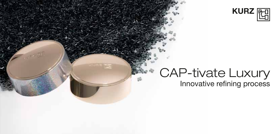

## CAP-tivate Luxury Innovative refining process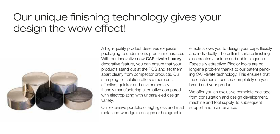## Our unique finishing technology gives your design the wow effect!



A high-quality product deserves exquisite packaging to underline its premium character. With our innovative new **CAP-tivate Luxury** decorative feature, you can ensure that your products stand out at the POS and set them apart clearly from competitor products. Our stamping foil solution offers a more costeffective, quicker and environmentallyfriendly manufacturing alternative compared with electroplating with unparalleled design variety.

Our extensive portfolio of high-gloss and matt metal and woodgrain designs or holographic

effects allows you to design your caps flexibly and individually. The brilliant surface finishing also creates a unique and noble elegance. Especially attractive: Bicolor looks are no longer a problem thanks to our patent pending CAP-tivate technology. This ensures that the customer is focused completely on your brand and your product!

We offer you an exclusive complete package: from consultation and design development, machine and tool supply, to subsequent support and maintenance.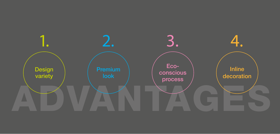